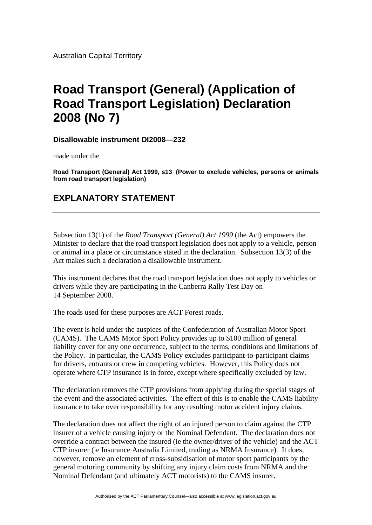## **Road Transport (General) (Application of Road Transport Legislation) Declaration 2008 (No 7)**

**Disallowable instrument DI2008—232**

made under the

**Road Transport (General) Act 1999, s13 (Power to exclude vehicles, persons or animals from road transport legislation)**

## **EXPLANATORY STATEMENT**

Subsection 13(1) of the *Road Transport (General) Act 1999* (the Act) empowers the Minister to declare that the road transport legislation does not apply to a vehicle, person or animal in a place or circumstance stated in the declaration. Subsection 13(3) of the Act makes such a declaration a disallowable instrument.

This instrument declares that the road transport legislation does not apply to vehicles or drivers while they are participating in the Canberra Rally Test Day on 14 September 2008.

The roads used for these purposes are ACT Forest roads.

The event is held under the auspices of the Confederation of Australian Motor Sport (CAMS). The CAMS Motor Sport Policy provides up to \$100 million of general liability cover for any one occurrence, subject to the terms, conditions and limitations of the Policy. In particular, the CAMS Policy excludes participant-to-participant claims for drivers, entrants or crew in competing vehicles. However, this Policy does not operate where CTP insurance is in force, except where specifically excluded by law.

The declaration removes the CTP provisions from applying during the special stages of the event and the associated activities. The effect of this is to enable the CAMS liability insurance to take over responsibility for any resulting motor accident injury claims.

The declaration does not affect the right of an injured person to claim against the CTP insurer of a vehicle causing injury or the Nominal Defendant. The declaration does not override a contract between the insured (ie the owner/driver of the vehicle) and the ACT CTP insurer (ie Insurance Australia Limited, trading as NRMA Insurance). It does, however, remove an element of cross-subsidisation of motor sport participants by the general motoring community by shifting any injury claim costs from NRMA and the Nominal Defendant (and ultimately ACT motorists) to the CAMS insurer.